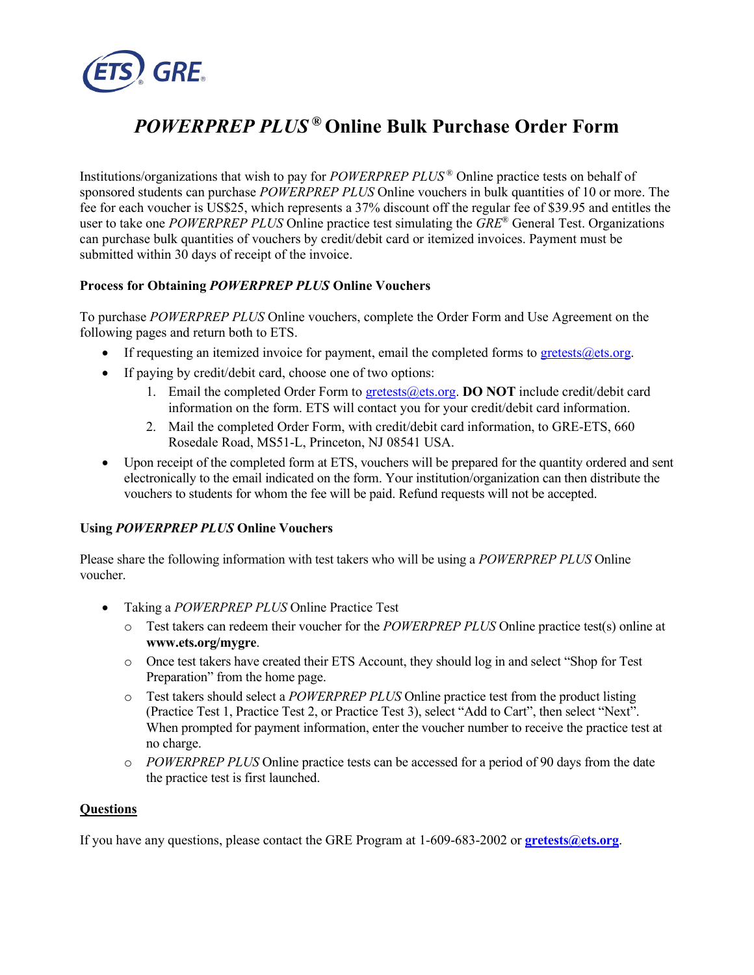

# *POWERPREP PLUS* **® Online Bulk Purchase Order Form**

 sponsored students can purchase *POWERPREP PLUS* Online vouchers in bulk quantities of 10 or more. The user to take one *POWERPREP PLUS* Online practice test simulating the *GRE*® General Test. Organizations can purchase bulk quantities of vouchers by credit/debit card or itemized invoices. Payment must be Institutions/organizations that wish to pay for *POWERPREP PLUS* ® Online practice tests on behalf of fee for each voucher is US\$25, which represents a 37% discount off the regular fee of \$39.95 and entitles the submitted within 30 days of receipt of the invoice.

### **Process for Obtaining** *POWERPREP PLUS* **Online Vouchers**

 To purchase *POWERPREP PLUS* Online vouchers, complete the Order Form and Use Agreement on the following pages and return both to ETS.

- If requesting an itemized invoice for payment, email the completed forms to gretests  $@e$ ts.org.
- If paying by credit/debit card, choose one of two options:
	- 1. Email the completed Order Form to [gretests@ets.org](mailto:gretests@ets.org). **DO NOT** include credit/debit card information on the form. ETS will contact you for your credit/debit card information.
	- 2. Mail the completed Order Form, with credit/debit card information, to GRE-ETS, 660 Rosedale Road, MS51-L, Princeton, NJ 08541 USA.
- Upon receipt of the completed form at ETS, vouchers will be prepared for the quantity ordered and sent electronically to the email indicated on the form. Your institution/organization can then distribute the vouchers to students for whom the fee will be paid. Refund requests will not be accepted.

### **Using** *POWERPREP PLUS* **Online Vouchers**

 Please share the following information with test takers who will be using a *POWERPREP PLUS* Online voucher.

- Taking a *POWERPREP PLUS* Online Practice Test
	- o Test takers can redeem their voucher for the *POWERPREP PLUS* Online practice test(s) online at **<www.ets.org/mygre>**.
	- o Once test takers have created their ETS Account, they should log in and select "Shop for Test Preparation" from the home page.
	- (Practice Test 1, Practice Test 2, or Practice Test 3), select "Add to Cart", then select "Next". When prompted for payment information, enter the voucher number to receive the practice test at o Test takers should select a *POWERPREP PLUS* Online practice test from the product listing no charge.
	- o *POWERPREP PLUS* Online practice tests can be accessed for a period of 90 days from the date the practice test is first launched.

#### **Questions**

If you have any questions, please contact the GRE Program at 1-609-683-2002 or **[gretests@ets.org](mailto:gretests@ets.org)**.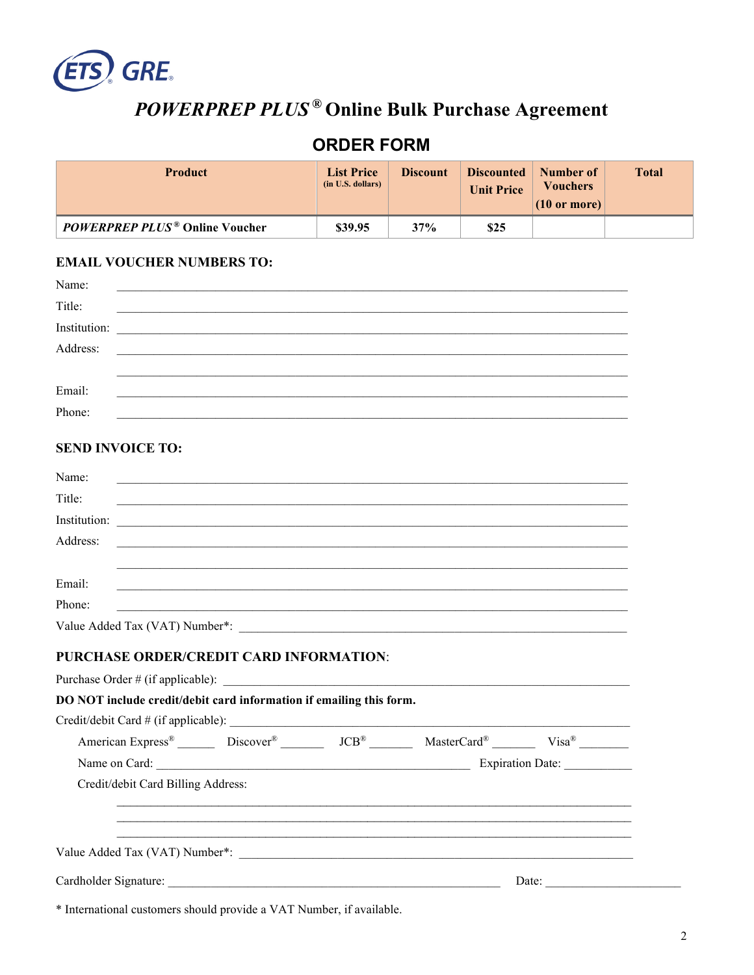

# POWERPREP PLUS<sup>®</sup> Online Bulk Purchase Agreement

## **ORDER FORM**

| <b>Product</b>                                   | <b>List Price</b><br>(in U.S. dollars) | <b>Discount</b> | Discounted<br><b>Unit Price</b> | Number of<br><b>Vouchers</b><br>$(10 \text{ or more})$ | <b>Total</b> |
|--------------------------------------------------|----------------------------------------|-----------------|---------------------------------|--------------------------------------------------------|--------------|
| <b>POWERPREP PLUS<sup>®</sup> Online Voucher</b> | \$39.95                                | 37%             | \$25                            |                                                        |              |

#### **EMAIL VOUCHER NUMBERS TO:**

| Name:        |                                                                                                                      |
|--------------|----------------------------------------------------------------------------------------------------------------------|
| Title:       | <u> 2002 - Jan James James James James James James James James James James James James James James James James J</u> |
| Institution: |                                                                                                                      |
| Address:     |                                                                                                                      |
|              |                                                                                                                      |
| Email:       |                                                                                                                      |
| Phone:       |                                                                                                                      |
|              |                                                                                                                      |

### **SEND INVOICE TO:**

| Name:<br><u> 1999 - Johann Barbara, margaretar (h. 1989).</u>                                                                              |       |
|--------------------------------------------------------------------------------------------------------------------------------------------|-------|
| Title:                                                                                                                                     |       |
| Institution:<br><u> 2000 - Jan James James James James James James James James James James James James James James James James J</u>       |       |
| Address:                                                                                                                                   |       |
| Email:<br><u> 1989 - Johann Stoff, fransk politik (f. 1989)</u>                                                                            |       |
| Phone:                                                                                                                                     |       |
|                                                                                                                                            |       |
| <b>PURCHASE ORDER/CREDIT CARD INFORMATION:</b>                                                                                             |       |
|                                                                                                                                            |       |
| DO NOT include credit/debit card information if emailing this form.                                                                        |       |
|                                                                                                                                            |       |
| American Express <sup>®</sup> Discover <sup>®</sup> Discover <sup>®</sup> JCB <sup>®</sup> MasterCard <sup>®</sup> Visa® Visa <sup>®</sup> |       |
|                                                                                                                                            |       |
| Credit/debit Card Billing Address:                                                                                                         |       |
|                                                                                                                                            |       |
|                                                                                                                                            |       |
|                                                                                                                                            |       |
|                                                                                                                                            | Date: |

\* International customers should provide a VAT Number, if available.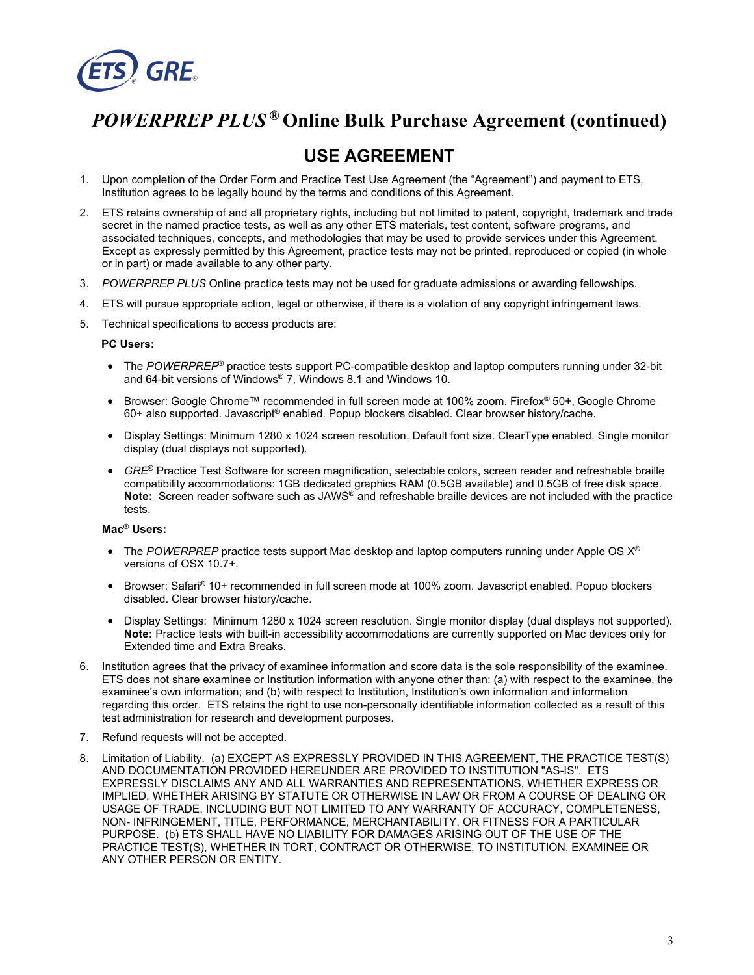

## *POWERPREP PLUS* **® Online Bulk Purchase Agreement (continued)**

## **USE AGREEMENT**

- 1. Upon completion of the Order Form and Practice Test Use Agreement (the "Agreement") and payment to ETS, Institution agrees to be legally bound by the terms and conditions of this Agreement.
- associated techniques, concepts, and methodologies that may be used to provide services under this Agreement. or in part) or made available to any other party. 2. ETS retains ownership of and all proprietary rights, including but not limited to patent, copyright, trademark and trade secret in the named practice tests, as well as any other ETS materials, test content, software programs, and Except as expressly permitted by this Agreement, practice tests may not be printed, reproduced or copied (in whole
- 3. *POWERPREP PLUS* Online practice tests may not be used for graduate admissions or awarding fellowships.
- 4. ETS will pursue appropriate action, legal or otherwise, if there is a violation of any copyright infringement laws.
- 5. Technical specifications to access products are:

#### **PC Users:**

- and 64-bit versions of Windows® 7, Windows 8.1 and Windows 10. • The *POWERPREP*® practice tests support PC-compatible desktop and laptop computers running under 32-bit
- Browser: Google Chrome™ recommended in full screen mode at 100% zoom. Firefox® 50+, Google Chrome 60+ also supported. Javascript® enabled. Popup blockers disabled. Clear browser history/cache.
- • Display Settings: Minimum 1280 x 1024 screen resolution. Default font size. ClearType enabled. Single monitor display (dual displays not supported).
- *GRE*<sup>®</sup> Practice Test Software for screen magnification, selectable colors, screen reader and refreshable braille compatibility accommodations: 1GB dedicated graphics RAM (0.5GB available) and 0.5GB of free disk space. **Note:** Screen reader software such as JAWS® and refreshable braille devices are not included with the practice tests.

#### **Mac® Users:**

- • The *POWERPREP* practice tests support Mac desktop and laptop computers running under Apple OS X® versions of OSX 10.7+.
- Browser: Safari® 10+ recommended in full screen mode at 100% zoom. Javascript enabled. Popup blockers disabled. Clear browser history/cache.
- **Note:** Practice tests with built-in accessibility accommodations are currently supported on Mac devices only for • Display Settings: Minimum 1280 x 1024 screen resolution. Single monitor display (dual displays not supported). Extended time and Extra Breaks.
- 6. Institution agrees that the privacy of examinee information and score data is the sole responsibility of the examinee. regarding this order. ETS retains the right to use non-personally identifiable information collected as a result of this ETS does not share examinee or Institution information with anyone other than: (a) with respect to the examinee, the examinee's own information; and (b) with respect to Institution, Institution's own information and information test administration for research and development purposes.
- 7. Refund requests will not be accepted.
- 8. Limitation of Liability. (a) EXCEPT AS EXPRESSLY PROVIDED IN THIS AGREEMENT, THE PRACTICE TEST(S) AND DOCUMENTATION PROVIDED HEREUNDER ARE PROVIDED TO INSTITUTION "AS-IS". ETS EXPRESSLY DISCLAIMS ANY AND ALL WARRANTIES AND REPRESENTATIONS, WHETHER EXPRESS OR IMPLIED, WHETHER ARISING BY STATUTE OR OTHERWISE IN LAW OR FROM A COURSE OF DEALING OR USAGE OF TRADE, INCLUDING BUT NOT LIMITED TO ANY WARRANTY OF ACCURACY, COMPLETENESS, NON- INFRINGEMENT, TITLE, PERFORMANCE, MERCHANTABILITY, OR FITNESS FOR A PARTICULAR PURPOSE. (b) ETS SHALL HAVE NO LIABILITY FOR DAMAGES ARISING OUT OF THE USE OF THE PRACTICE TEST(S), WHETHER IN TORT, CONTRACT OR OTHERWISE, TO INSTITUTION, EXAMINEE OR ANY OTHER PERSON OR ENTITY.